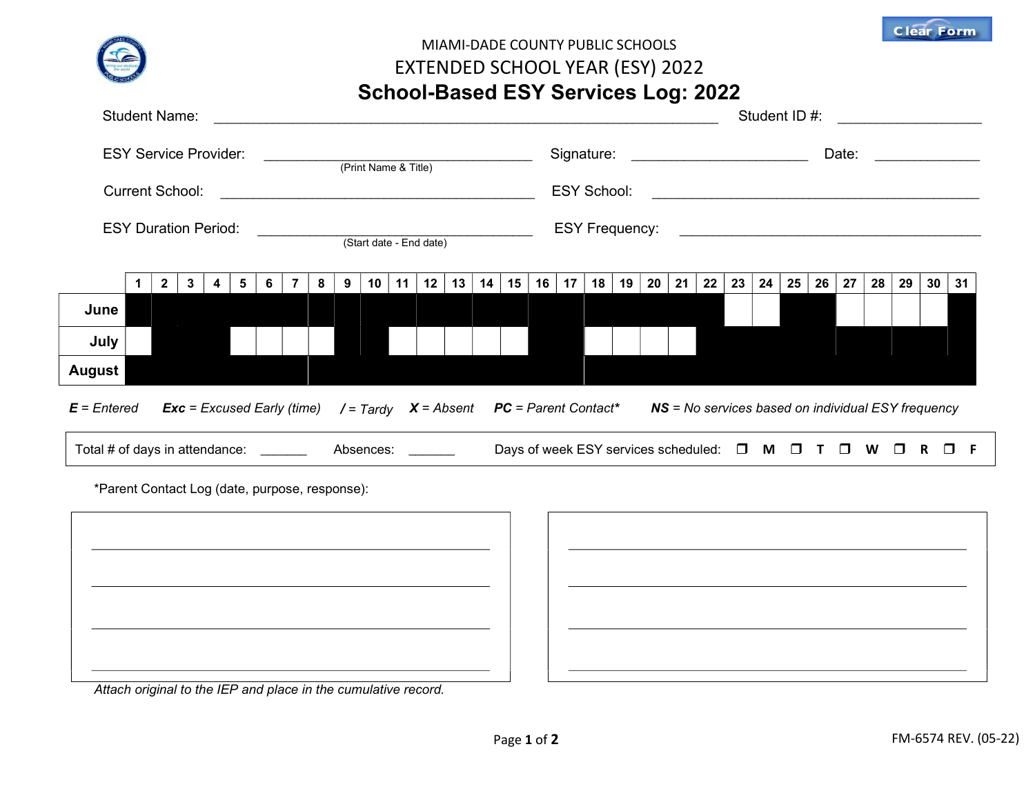

## MIAMI-DADE COUNTY PUBLIC SCHOOLS EXTENDED SCHOOL YEAR (ESY) 2022 School-Based ESY Services Log: 2022

| <b>Student Name:</b>                                                                          |                                                                                                                                                               |              |   |   |                       |                     | Student ID #: |   |   |    |    |    |                 |    |        |    |    |    |    |                 |    |     |    |    |    |    |    |    |    |                 |    |  |
|-----------------------------------------------------------------------------------------------|---------------------------------------------------------------------------------------------------------------------------------------------------------------|--------------|---|---|-----------------------|---------------------|---------------|---|---|----|----|----|-----------------|----|--------|----|----|----|----|-----------------|----|-----|----|----|----|----|----|----|----|-----------------|----|--|
| <b>ESY Service Provider:</b><br>(Print Name & Title)                                          |                                                                                                                                                               |              |   |   |                       | Signature:<br>Date: |               |   |   |    |    |    |                 |    |        |    |    |    |    |                 |    |     |    |    |    |    |    |    |    |                 |    |  |
| <b>Current School:</b>                                                                        |                                                                                                                                                               |              |   |   |                       | <b>ESY School:</b>  |               |   |   |    |    |    |                 |    |        |    |    |    |    |                 |    |     |    |    |    |    |    |    |    |                 |    |  |
| <b>ESY Duration Period:</b><br>(Start date - End date)                                        |                                                                                                                                                               |              |   |   | <b>ESY Frequency:</b> |                     |               |   |   |    |    |    |                 |    |        |    |    |    |    |                 |    |     |    |    |    |    |    |    |    |                 |    |  |
|                                                                                               | 1                                                                                                                                                             | $\mathbf{2}$ | 3 | 4 | 5                     | 6                   |               | 8 | 9 | 10 | 11 | 12 | 13 <sup>1</sup> | 14 | 15     | 16 | 17 | 18 | 19 | 20 <sub>1</sub> | 21 | 22  | 23 | 24 | 25 | 26 | 27 | 28 | 29 | 30 <sub>o</sub> | 31 |  |
| June                                                                                          |                                                                                                                                                               |              |   |   |                       |                     |               |   |   |    |    |    |                 |    |        |    |    |    |    |                 |    |     |    |    |    |    |    |    |    |                 |    |  |
| July                                                                                          |                                                                                                                                                               |              |   |   |                       |                     |               |   |   |    |    |    |                 |    |        |    |    |    |    |                 |    |     |    |    |    |    |    |    |    |                 |    |  |
| August                                                                                        |                                                                                                                                                               |              |   |   |                       |                     |               |   |   |    |    |    |                 |    |        |    |    |    |    |                 |    |     |    |    |    |    |    |    |    |                 |    |  |
|                                                                                               | $E = E$ ntered<br>$X = Absent$ <b>PC</b> = Parent Contact*<br>$Exc = Excused Early (time)$<br>NS = No services based on individual ESY frequency<br>/ = Tardy |              |   |   |                       |                     |               |   |   |    |    |    |                 |    |        |    |    |    |    |                 |    |     |    |    |    |    |    |    |    |                 |    |  |
| Total # of days in attendance:<br>Days of week ESY services scheduled: $\square$<br>Absences: |                                                                                                                                                               |              |   |   |                       |                     |               |   |   |    |    |    |                 | M  | $\Box$ |    |    | W  |    |                 |    | - F |    |    |    |    |    |    |    |                 |    |  |

\*Parent Contact Log (date, purpose, response):

Attach original to the IEP and place in the cumulative record.